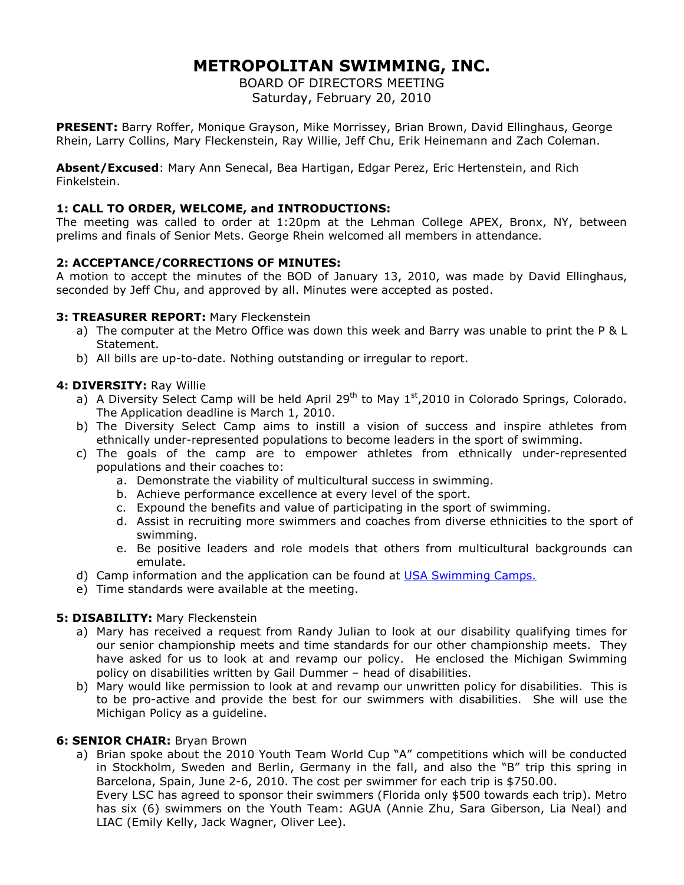# **METROPOLITAN SWIMMING, INC.**

BOARD OF DIRECTORS MEETING Saturday, February 20, 2010

**PRESENT:** Barry Roffer, Monique Grayson, Mike Morrissey, Brian Brown, David Ellinghaus, George Rhein, Larry Collins, Mary Fleckenstein, Ray Willie, Jeff Chu, Erik Heinemann and Zach Coleman.

**Absent/Excused**: Mary Ann Senecal, Bea Hartigan, Edgar Perez, Eric Hertenstein, and Rich Finkelstein.

## **1: CALL TO ORDER, WELCOME, and INTRODUCTIONS:**

The meeting was called to order at 1:20pm at the Lehman College APEX, Bronx, NY, between prelims and finals of Senior Mets. George Rhein welcomed all members in attendance.

## **2: ACCEPTANCE/CORRECTIONS OF MINUTES:**

A motion to accept the minutes of the BOD of January 13, 2010, was made by David Ellinghaus, seconded by Jeff Chu, and approved by all. Minutes were accepted as posted.

#### **3: TREASURER REPORT:** Mary Fleckenstein

- a) The computer at the Metro Office was down this week and Barry was unable to print the P & L Statement.
- b) All bills are up-to-date. Nothing outstanding or irregular to report.

#### **4: DIVERSITY:** Ray Willie

- a) A Diversity Select Camp will be held April  $29<sup>th</sup>$  to May  $1<sup>st</sup>$ ,2010 in Colorado Springs, Colorado. The Application deadline is March 1, 2010.
- b) The Diversity Select Camp aims to instill a vision of success and inspire athletes from ethnically under-represented populations to become leaders in the sport of swimming.
- c) The goals of the camp are to empower athletes from ethnically under-represented populations and their coaches to:
	- a. Demonstrate the viability of multicultural success in swimming.
	- b. Achieve performance excellence at every level of the sport.
	- c. Expound the benefits and value of participating in the sport of swimming.
	- d. Assist in recruiting more swimmers and coaches from diverse ethnicities to the sport of swimming.
	- e. Be positive leaders and role models that others from multicultural backgrounds can emulate.
- d) Camp information and the application can be found at USA Swimming Camps.
- e) Time standards were available at the meeting.

#### **5: DISABILITY:** Mary Fleckenstein

- a) Mary has received a request from Randy Julian to look at our disability qualifying times for our senior championship meets and time standards for our other championship meets. They have asked for us to look at and revamp our policy. He enclosed the Michigan Swimming policy on disabilities written by Gail Dummer – head of disabilities.
- b) Mary would like permission to look at and revamp our unwritten policy for disabilities. This is to be pro-active and provide the best for our swimmers with disabilities. She will use the Michigan Policy as a guideline.

#### **6: SENIOR CHAIR:** Bryan Brown

a) Brian spoke about the 2010 Youth Team World Cup "A" competitions which will be conducted in Stockholm, Sweden and Berlin, Germany in the fall, and also the "B" trip this spring in Barcelona, Spain, June 2-6, 2010. The cost per swimmer for each trip is \$750.00. Every LSC has agreed to sponsor their swimmers (Florida only \$500 towards each trip). Metro has six (6) swimmers on the Youth Team: AGUA (Annie Zhu, Sara Giberson, Lia Neal) and LIAC (Emily Kelly, Jack Wagner, Oliver Lee).